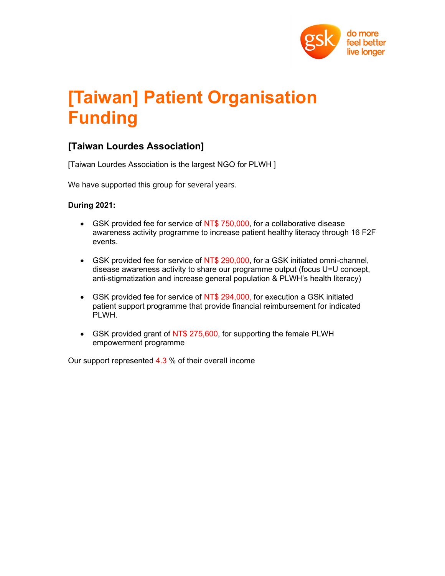

# [Taiwan] Patient Organisation Funding

# [Taiwan Lourdes Association]

[Taiwan Lourdes Association is the largest NGO for PLWH ]

We have supported this group for several years.

### During 2021:

- GSK provided fee for service of NT\$ 750,000, for a collaborative disease awareness activity programme to increase patient healthy literacy through 16 F2F events.
- GSK provided fee for service of NT\$ 290,000, for a GSK initiated omni-channel, disease awareness activity to share our programme output (focus U=U concept, anti-stigmatization and increase general population & PLWH's health literacy)
- GSK provided fee for service of NT\$ 294,000, for execution a GSK initiated patient support programme that provide financial reimbursement for indicated PLWH.
- GSK provided grant of NT\$ 275,600, for supporting the female PLWH empowerment programme

Our support represented 4.3 % of their overall income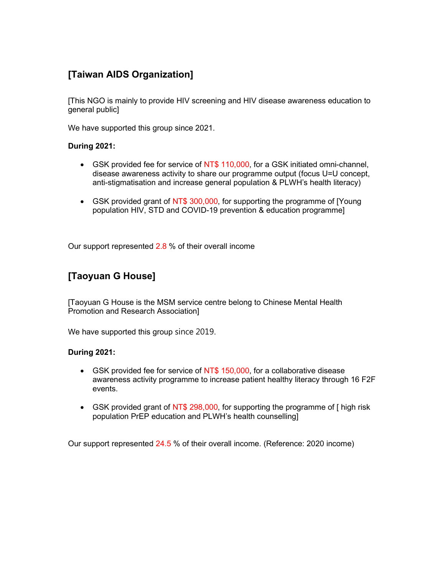# [Taiwan AIDS Organization]

[This NGO is mainly to provide HIV screening and HIV disease awareness education to general public]

We have supported this group since 2021.

#### During 2021:

- GSK provided fee for service of NT\$ 110,000, for a GSK initiated omni-channel, disease awareness activity to share our programme output (focus U=U concept, anti-stigmatisation and increase general population & PLWH's health literacy)
- GSK provided grant of NT\$ 300,000, for supporting the programme of [Young population HIV, STD and COVID-19 prevention & education programme]

Our support represented 2.8 % of their overall income

### [Taoyuan G House]

[Taoyuan G House is the MSM service centre belong to Chinese Mental Health Promotion and Research Association]

We have supported this group since 2019.

### During 2021:

- GSK provided fee for service of NT\$ 150,000, for a collaborative disease awareness activity programme to increase patient healthy literacy through 16 F2F events.
- GSK provided grant of NT\$ 298,000, for supporting the programme of [ high risk population PrEP education and PLWH's health counselling]

Our support represented 24.5 % of their overall income. (Reference: 2020 income)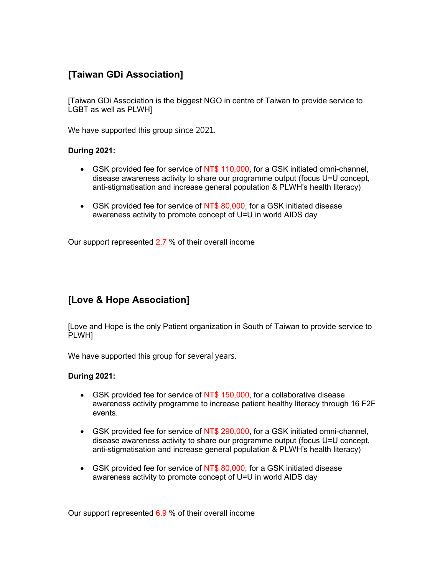# [Taiwan GDi Association]

[Taiwan GDi Association is the biggest NGO in centre of Taiwan to provide service to LGBT as well as PLWH]

We have supported this group since 2021.

#### During 2021:

- GSK provided fee for service of NT\$ 110,000, for a GSK initiated omni-channel, disease awareness activity to share our programme output (focus U=U concept, anti-stigmatisation and increase general population & PLWH's health literacy)
- GSK provided fee for service of NT\$ 80,000, for a GSK initiated disease awareness activity to promote concept of U=U in world AIDS day

Our support represented 2.7 % of their overall income

### [Love & Hope Association]

[Love and Hope is the only Patient organization in South of Taiwan to provide service to PLWH]

We have supported this group for several years.

### During 2021:

- GSK provided fee for service of NT\$ 150,000, for a collaborative disease awareness activity programme to increase patient healthy literacy through 16 F2F events.
- GSK provided fee for service of NT\$ 290,000, for a GSK initiated omni-channel, disease awareness activity to share our programme output (focus U=U concept, anti-stigmatisation and increase general population & PLWH's health literacy)
- GSK provided fee for service of NT\$ 80,000, for a GSK initiated disease awareness activity to promote concept of U=U in world AIDS day

Our support represented 6.9 % of their overall income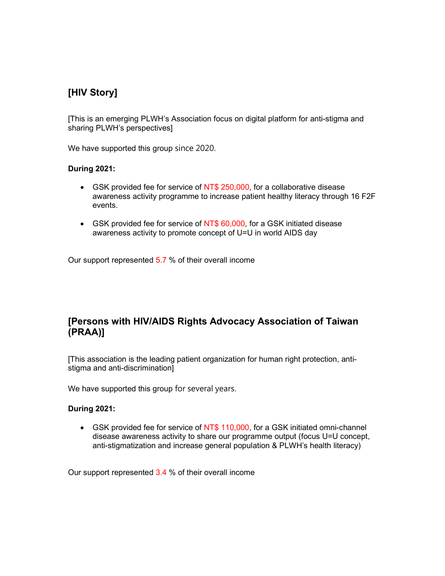# [HIV Story]

[This is an emerging PLWH's Association focus on digital platform for anti-stigma and sharing PLWH's perspectives]

We have supported this group since 2020.

### During 2021:

- GSK provided fee for service of NT\$ 250,000, for a collaborative disease awareness activity programme to increase patient healthy literacy through 16 F2F events.
- GSK provided fee for service of NT\$ 60,000, for a GSK initiated disease awareness activity to promote concept of U=U in world AIDS day

Our support represented 5.7 % of their overall income

### [Persons with HIV/AIDS Rights Advocacy Association of Taiwan (PRAA)]

[This association is the leading patient organization for human right protection, antistigma and anti-discrimination]

We have supported this group for several years.

### During 2021:

 GSK provided fee for service of NT\$ 110,000, for a GSK initiated omni-channel disease awareness activity to share our programme output (focus U=U concept, anti-stigmatization and increase general population & PLWH's health literacy)

Our support represented 3.4 % of their overall income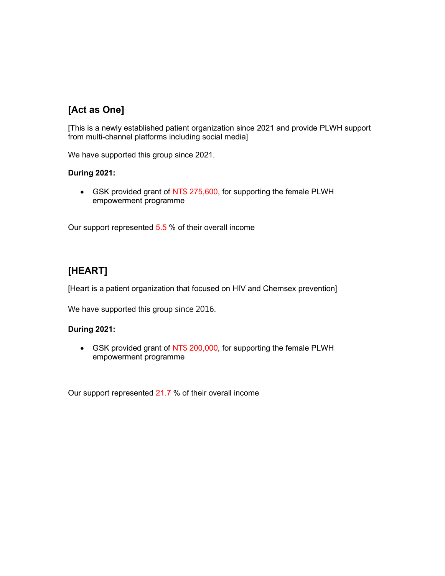# [Act as One]

[This is a newly established patient organization since 2021 and provide PLWH support from multi-channel platforms including social media]

We have supported this group since 2021.

### During 2021:

• GSK provided grant of NT\$ 275,600, for supporting the female PLWH empowerment programme

Our support represented 5.5 % of their overall income

# [HEART]

[Heart is a patient organization that focused on HIV and Chemsex prevention]

We have supported this group since 2016.

### During 2021:

• GSK provided grant of NT\$ 200,000, for supporting the female PLWH empowerment programme

Our support represented 21.7 % of their overall income